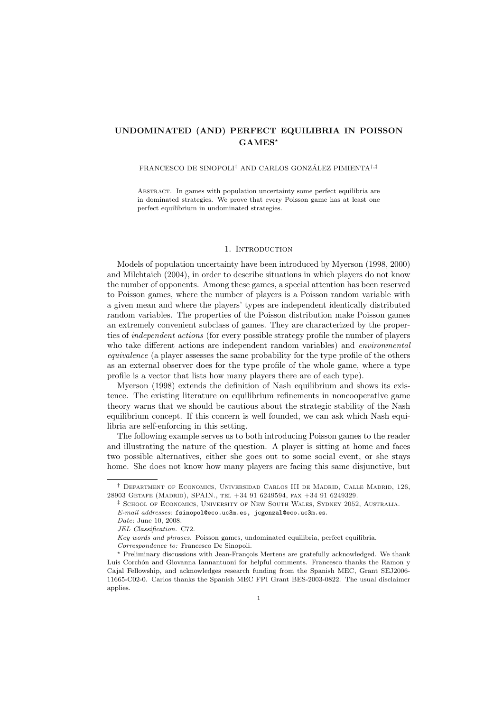# UNDOMINATED (AND) PERFECT EQUILIBRIA IN POISSON  $GAMES^{\star}$

#### FRANCESCO DE SINOPOLI<sup>†</sup> AND CARLOS GONZÁLEZ PIMIENTA<sup>†,‡</sup>

Abstract. In games with population uncertainty some perfect equilibria are in dominated strategies. We prove that every Poisson game has at least one perfect equilibrium in undominated strategies.

### 1. INTRODUCTION

Models of population uncertainty have been introduced by Myerson (1998, 2000) and Milchtaich (2004), in order to describe situations in which players do not know the number of opponents. Among these games, a special attention has been reserved to Poisson games, where the number of players is a Poisson random variable with a given mean and where the players' types are independent identically distributed random variables. The properties of the Poisson distribution make Poisson games an extremely convenient subclass of games. They are characterized by the properties of independent actions (for every possible strategy profile the number of players who take different actions are independent random variables) and environmental equivalence (a player assesses the same probability for the type profile of the others as an external observer does for the type profile of the whole game, where a type profile is a vector that lists how many players there are of each type).

Myerson (1998) extends the definition of Nash equilibrium and shows its existence. The existing literature on equilibrium refinements in noncooperative game theory warns that we should be cautious about the strategic stability of the Nash equilibrium concept. If this concern is well founded, we can ask which Nash equilibria are self-enforcing in this setting.

The following example serves us to both introducing Poisson games to the reader and illustrating the nature of the question. A player is sitting at home and faces two possible alternatives, either she goes out to some social event, or she stays home. She does not know how many players are facing this same disjunctive, but

<sup>†</sup> Department of Economics, Universidad Carlos III de Madrid, Calle Madrid, 126, 28903 Getafe (Madrid), SPAIN., tel +34 91 6249594, fax +34 91 6249329.

<sup>‡</sup> School of Economics, University of New South Wales, Sydney 2052, Australia.

E-mail addresses: fsinopol@eco.uc3m.es, jcgonzal@eco.uc3m.es.

Date: June 10, 2008.

JEL Classification. C72.

Key words and phrases. Poisson games, undominated equilibria, perfect equilibria. Correspondence to: Francesco De Sinopoli.

 $\star$  Preliminary discussions with Jean-François Mertens are gratefully acknowledged. We thank Luis Corchón and Giovanna Iannantuoni for helpful comments. Francesco thanks the Ramon y Cajal Fellowship, and acknowledges research funding from the Spanish MEC, Grant SEJ2006- 11665-C02-0. Carlos thanks the Spanish MEC FPI Grant BES-2003-0822. The usual disclaimer applies.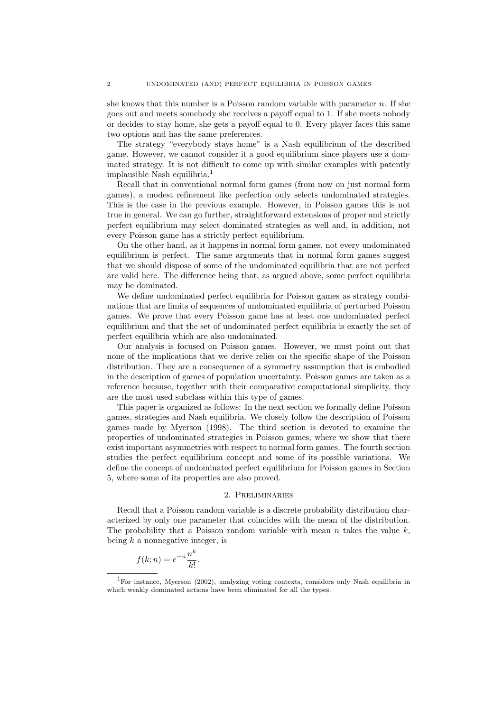she knows that this number is a Poisson random variable with parameter  $n$ . If she goes out and meets somebody she receives a payoff equal to 1. If she meets nobody or decides to stay home, she gets a payoff equal to 0. Every player faces this same two options and has the same preferences.

The strategy "everybody stays home" is a Nash equilibrium of the described game. However, we cannot consider it a good equilibrium since players use a dominated strategy. It is not difficult to come up with similar examples with patently implausible Nash equilibria.<sup>1</sup>

Recall that in conventional normal form games (from now on just normal form games), a modest refinement like perfection only selects undominated strategies. This is the case in the previous example. However, in Poisson games this is not true in general. We can go further, straightforward extensions of proper and strictly perfect equilibrium may select dominated strategies as well and, in addition, not every Poisson game has a strictly perfect equilibrium.

On the other hand, as it happens in normal form games, not every undominated equilibrium is perfect. The same arguments that in normal form games suggest that we should dispose of some of the undominated equilibria that are not perfect are valid here. The difference being that, as argued above, some perfect equilibria may be dominated.

We define undominated perfect equilibria for Poisson games as strategy combinations that are limits of sequences of undominated equilibria of perturbed Poisson games. We prove that every Poisson game has at least one undominated perfect equilibrium and that the set of undominated perfect equilibria is exactly the set of perfect equilibria which are also undominated.

Our analysis is focused on Poisson games. However, we must point out that none of the implications that we derive relies on the specific shape of the Poisson distribution. They are a consequence of a symmetry assumption that is embodied in the description of games of population uncertainty. Poisson games are taken as a reference because, together with their comparative computational simplicity, they are the most used subclass within this type of games.

This paper is organized as follows: In the next section we formally define Poisson games, strategies and Nash equilibria. We closely follow the description of Poisson games made by Myerson (1998). The third section is devoted to examine the properties of undominated strategies in Poisson games, where we show that there exist important asymmetries with respect to normal form games. The fourth section studies the perfect equilibrium concept and some of its possible variations. We define the concept of undominated perfect equilibrium for Poisson games in Section 5, where some of its properties are also proved.

#### 2. Preliminaries

Recall that a Poisson random variable is a discrete probability distribution characterized by only one parameter that coincides with the mean of the distribution. The probability that a Poisson random variable with mean  $n$  takes the value  $k$ , being  $k$  a nonnegative integer, is

$$
f(k; n) = e^{-n} \frac{n^k}{k!}.
$$

<sup>1</sup>For instance, Myerson (2002), analyzing voting contexts, considers only Nash equilibria in which weakly dominated actions have been eliminated for all the types.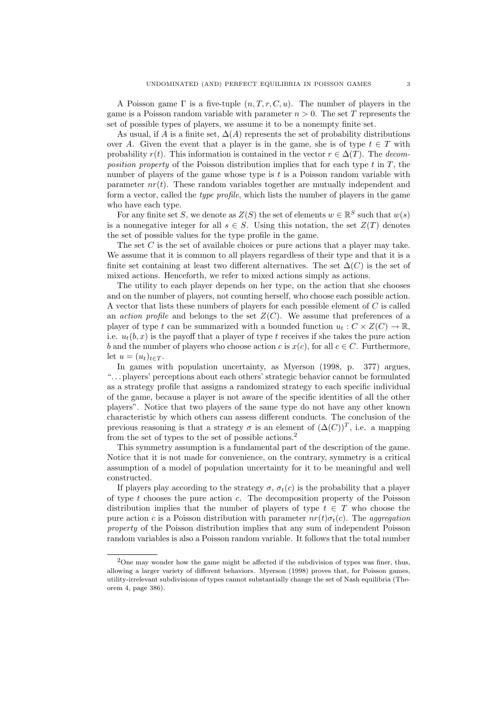A Poisson game  $\Gamma$  is a five-tuple  $(n, T, r, C, u)$ . The number of players in the game is a Poisson random variable with parameter  $n > 0$ . The set T represents the set of possible types of players, we assume it to be a nonempty finite set.

As usual, if A is a finite set,  $\Delta(A)$  represents the set of probability distributions over A. Given the event that a player is in the game, she is of type  $t \in T$  with probability  $r(t)$ . This information is contained in the vector  $r \in \Delta(T)$ . The decomposition property of the Poisson distribution implies that for each type  $t$  in  $T$ , the number of players of the game whose type is  $t$  is a Poisson random variable with parameter  $nr(t)$ . These random variables together are mutually independent and form a vector, called the type profile, which lists the number of players in the game who have each type.

For any finite set S, we denote as  $Z(S)$  the set of elements  $w \in \mathbb{R}^S$  such that  $w(s)$ is a nonnegative integer for all  $s \in S$ . Using this notation, the set  $Z(T)$  denotes the set of possible values for the type profile in the game.

The set C is the set of available choices or pure actions that a player may take. We assume that it is common to all players regardless of their type and that it is a finite set containing at least two different alternatives. The set  $\Delta(C)$  is the set of mixed actions. Henceforth, we refer to mixed actions simply as actions.

The utility to each player depends on her type, on the action that she chooses and on the number of players, not counting herself, who choose each possible action. A vector that lists these numbers of players for each possible element of C is called an *action profile* and belongs to the set  $Z(C)$ . We assume that preferences of a player of type t can be summarized with a bounded function  $u_t : C \times Z(C) \to \mathbb{R}$ , i.e.  $u_t(b, x)$  is the payoff that a player of type t receives if she takes the pure action b and the number of players who choose action c is  $x(c)$ , for all  $c \in C$ . Furthermore, let  $u = (u_t)_{t \in T}$ .

In games with population uncertainty, as Myerson (1998, p. 377) argues, ". . . players' perceptions about each others' strategic behavior cannot be formulated as a strategy profile that assigns a randomized strategy to each specific individual of the game, because a player is not aware of the specific identities of all the other players". Notice that two players of the same type do not have any other known characteristic by which others can assess different conducts. The conclusion of the previous reasoning is that a strategy  $\sigma$  is an element of  $(\Delta(C))^T$ , i.e. a mapping from the set of types to the set of possible actions.<sup>2</sup>

This symmetry assumption is a fundamental part of the description of the game. Notice that it is not made for convenience, on the contrary, symmetry is a critical assumption of a model of population uncertainty for it to be meaningful and well constructed.

If players play according to the strategy  $\sigma$ ,  $\sigma_t(c)$  is the probability that a player of type  $t$  chooses the pure action  $c$ . The decomposition property of the Poisson distribution implies that the number of players of type  $t \in T$  who choose the pure action c is a Poisson distribution with parameter  $nr(t)\sigma_t(c)$ . The aggregation property of the Poisson distribution implies that any sum of independent Poisson random variables is also a Poisson random variable. It follows that the total number

<sup>2</sup>One may wonder how the game might be affected if the subdivision of types was finer, thus, allowing a larger variety of different behaviors. Myerson (1998) proves that, for Poisson games, utility-irrelevant subdivisions of types cannot substantially change the set of Nash equilibria (Theorem 4, page 386).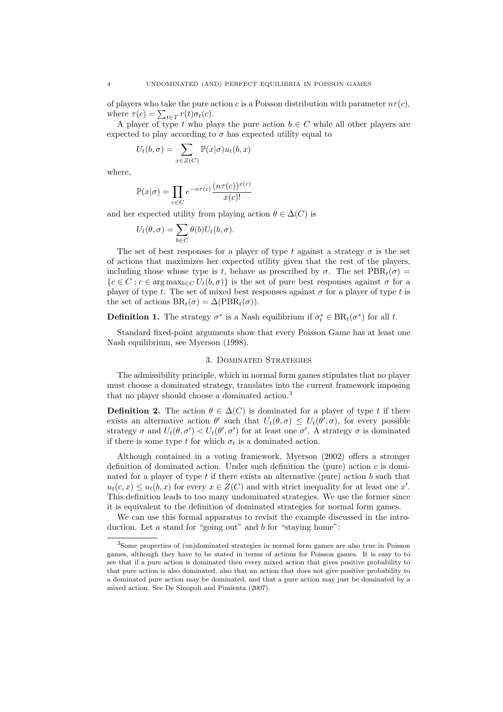of players who take the pure action c is a Poisson distribution with parameter  $n\tau(c)$ , where  $\tau(c) = \sum_{t \in T} r(t)\sigma_t(c)$ .

A player of type t who plays the pure action  $b \in C$  while all other players are expected to play according to  $\sigma$  has expected utility equal to

$$
U_t(b,\sigma) = \sum_{x \in Z(C)} \mathbb{P}(x|\sigma) u_t(b,x)
$$

where,

$$
\mathbb{P}(x|\sigma) = \prod_{c \in C} e^{-n\tau(c)} \frac{(n\tau(c))^{x(c)}}{x(c)!}
$$

and her expected utility from playing action  $\theta \in \Delta(C)$  is

$$
U_t(\theta, \sigma) = \sum_{b \in C} \theta(b) U_t(b, \sigma).
$$

The set of best responses for a player of type t against a strategy  $\sigma$  is the set of actions that maximizes her expected utility given that the rest of the players, including those whose type is t, behave as prescribed by  $\sigma$ . The set  $PBR<sub>t</sub>(\sigma)$  =  ${c \in C : c \in \text{arg}\max_{b \in C} U_t(b, \sigma)}$  is the set of pure best responses against  $\sigma$  for a player of type t. The set of mixed best responses against  $\sigma$  for a player of type t is the set of actions  $BR_t(\sigma) = \Delta(PBR_t(\sigma)).$ 

**Definition 1.** The strategy  $\sigma^*$  is a Nash equilibrium if  $\sigma_t^* \in BR_t(\sigma^*)$  for all t.

Standard fixed-point arguments show that every Poisson Game has at least one Nash equilibrium, see Myerson (1998).

### 3. Dominated Strategies

The admissibility principle, which in normal form games stipulates that no player must choose a dominated strategy, translates into the current framework imposing that no player should choose a dominated action.<sup>3</sup>

**Definition 2.** The action  $\theta \in \Delta(C)$  is dominated for a player of type t if there exists an alternative action  $\theta'$  such that  $U_t(\theta, \sigma) \leq U_t(\theta', \sigma)$ , for every possible strategy  $\sigma$  and  $U_t(\theta, \sigma') < U_t(\theta', \sigma')$  for at least one  $\sigma'$ . A strategy  $\sigma$  is dominated if there is some type t for which  $\sigma_t$  is a dominated action.

Although contained in a voting framework, Myerson (2002) offers a stronger definition of dominated action. Under such definition the (pure) action  $c$  is dominated for a player of type  $t$  if there exists an alternative (pure) action  $b$  such that  $u_t(c, x) \leq u_t(b, x)$  for every  $x \in Z(C)$  and with strict inequality for at least one x'. This definition leads to too many undominated strategies. We use the former since it is equivalent to the definition of dominated strategies for normal form games.

We can use this formal apparatus to revisit the example discussed in the introduction. Let  $a$  stand for "going out" and  $b$  for "staying home":

<sup>3</sup>Some properties of (un)dominated strategies in normal form games are also true in Poisson games, although they have to be stated in terms of actions for Poisson games. It is easy to to see that if a pure action is dominated then every mixed action that gives positive probability to that pure action is also dominated, also that an action that does not give positive probability to a dominated pure action may be dominated, and that a pure action may just be dominated by a mixed action. See De Sinopoli and Pimienta (2007).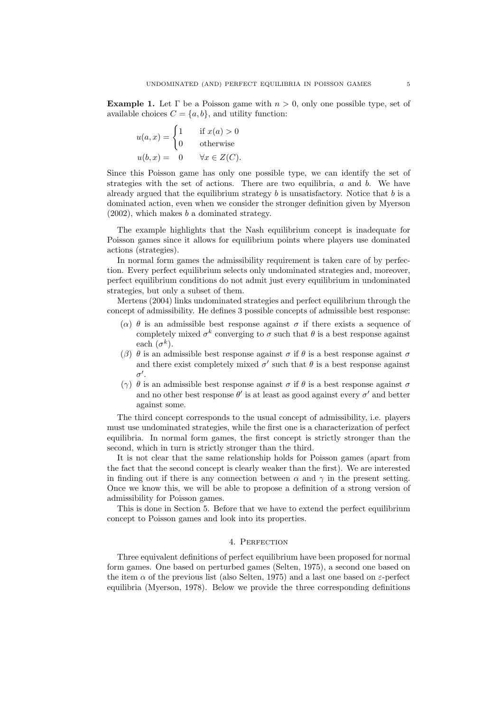**Example 1.** Let  $\Gamma$  be a Poisson game with  $n > 0$ , only one possible type, set of available choices  $C = \{a, b\}$ , and utility function:

$$
u(a,x) = \begin{cases} 1 & \text{if } x(a) > 0 \\ 0 & \text{otherwise} \end{cases}
$$
  

$$
u(b,x) = 0 \quad \forall x \in Z(C).
$$

Since this Poisson game has only one possible type, we can identify the set of strategies with the set of actions. There are two equilibria,  $a$  and  $b$ . We have already argued that the equilibrium strategy  $b$  is unsatisfactory. Notice that  $b$  is a dominated action, even when we consider the stronger definition given by Myerson  $(2002)$ , which makes b a dominated strategy.

The example highlights that the Nash equilibrium concept is inadequate for Poisson games since it allows for equilibrium points where players use dominated actions (strategies).

In normal form games the admissibility requirement is taken care of by perfection. Every perfect equilibrium selects only undominated strategies and, moreover, perfect equilibrium conditions do not admit just every equilibrium in undominated strategies, but only a subset of them.

Mertens (2004) links undominated strategies and perfect equilibrium through the concept of admissibility. He defines 3 possible concepts of admissible best response:

- ( $\alpha$ )  $\theta$  is an admissible best response against  $\sigma$  if there exists a sequence of completely mixed  $\sigma^k$  converging to  $\sigma$  such that  $\theta$  is a best response against each  $(\sigma^k)$ .
- (β)  $\theta$  is an admissible best response against  $\sigma$  if  $\theta$  is a best response against  $\sigma$ and there exist completely mixed  $\sigma'$  such that  $\theta$  is a best response against  $\sigma'$ .
- (γ)  $\theta$  is an admissible best response against  $\sigma$  if  $\theta$  is a best response against  $\sigma$ and no other best response  $\theta'$  is at least as good against every  $\sigma'$  and better against some.

The third concept corresponds to the usual concept of admissibility, i.e. players must use undominated strategies, while the first one is a characterization of perfect equilibria. In normal form games, the first concept is strictly stronger than the second, which in turn is strictly stronger than the third.

It is not clear that the same relationship holds for Poisson games (apart from the fact that the second concept is clearly weaker than the first). We are interested in finding out if there is any connection between  $\alpha$  and  $\gamma$  in the present setting. Once we know this, we will be able to propose a definition of a strong version of admissibility for Poisson games.

This is done in Section 5. Before that we have to extend the perfect equilibrium concept to Poisson games and look into its properties.

## 4. Perfection

Three equivalent definitions of perfect equilibrium have been proposed for normal form games. One based on perturbed games (Selten, 1975), a second one based on the item  $\alpha$  of the previous list (also Selten, 1975) and a last one based on  $\varepsilon$ -perfect equilibria (Myerson, 1978). Below we provide the three corresponding definitions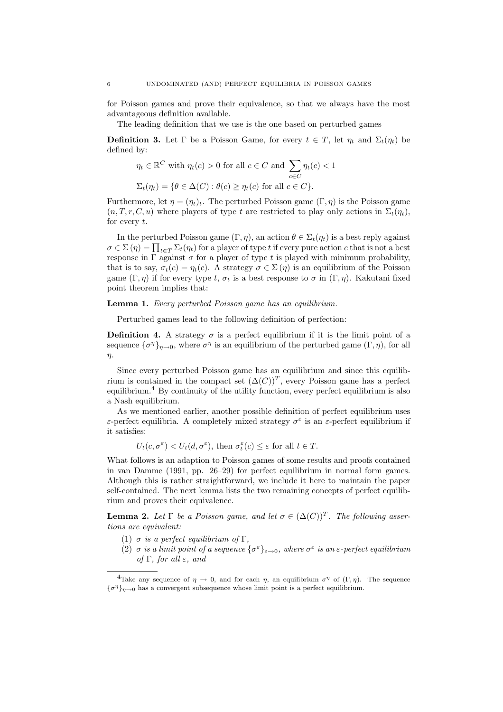for Poisson games and prove their equivalence, so that we always have the most advantageous definition available.

The leading definition that we use is the one based on perturbed games

**Definition 3.** Let  $\Gamma$  be a Poisson Game, for every  $t \in T$ , let  $\eta_t$  and  $\Sigma_t(\eta_t)$  be defined by:

$$
\eta_t \in \mathbb{R}^C \text{ with } \eta_t(c) > 0 \text{ for all } c \in C \text{ and } \sum_{c \in C} \eta_t(c) < 1
$$
  

$$
\Sigma_t(\eta_t) = \{ \theta \in \Delta(C) : \theta(c) \ge \eta_t(c) \text{ for all } c \in C \}.
$$

Furthermore, let  $\eta = (\eta_t)_t$ . The perturbed Poisson game  $(\Gamma, \eta)$  is the Poisson game  $(n, T, r, C, u)$  where players of type t are restricted to play only actions in  $\Sigma_t(n_t)$ , for every t.

In the perturbed Poisson game  $(\Gamma, \eta)$ , an action  $\theta \in \Sigma_t(\eta_t)$  is a best reply against  $\sigma \in \Sigma(\eta) = \prod_{t \in T} \Sigma_t(\eta_t)$  for a player of type t if every pure action c that is not a best response in  $\Gamma$  against  $\sigma$  for a player of type t is played with minimum probability, that is to say,  $\sigma_t(c) = \eta_t(c)$ . A strategy  $\sigma \in \Sigma(\eta)$  is an equilibrium of the Poisson game  $(\Gamma, \eta)$  if for every type t,  $\sigma_t$  is a best response to  $\sigma$  in  $(\Gamma, \eta)$ . Kakutani fixed point theorem implies that:

### Lemma 1. Every perturbed Poisson game has an equilibrium.

Perturbed games lead to the following definition of perfection:

**Definition 4.** A strategy  $\sigma$  is a perfect equilibrium if it is the limit point of a sequence  $\{\sigma^{\eta}\}_{\eta\to 0}$ , where  $\sigma^{\eta}$  is an equilibrium of the perturbed game  $(\Gamma, \eta)$ , for all η.

Since every perturbed Poisson game has an equilibrium and since this equilibrium is contained in the compact set  $(\Delta(C))^T$ , every Poisson game has a perfect equilibrium.<sup>4</sup> By continuity of the utility function, every perfect equilibrium is also a Nash equilibrium.

As we mentioned earlier, another possible definition of perfect equilibrium uses ε-perfect equilibria. A completely mixed strategy  $\sigma^{\varepsilon}$  is an ε-perfect equilibrium if it satisfies:

$$
U_t(c, \sigma^{\varepsilon}) < U_t(d, \sigma^{\varepsilon}), \text{ then } \sigma_t^{\varepsilon}(c) \leq \varepsilon \text{ for all } t \in T.
$$

What follows is an adaption to Poisson games of some results and proofs contained in van Damme (1991, pp. 26–29) for perfect equilibrium in normal form games. Although this is rather straightforward, we include it here to maintain the paper self-contained. The next lemma lists the two remaining concepts of perfect equilibrium and proves their equivalence.

**Lemma 2.** Let  $\Gamma$  be a Poisson game, and let  $\sigma \in (\Delta(C))^T$ . The following assertions are equivalent:

- (1)  $\sigma$  is a perfect equilibrium of  $\Gamma$ ,
- (2)  $\sigma$  is a limit point of a sequence  $\{\sigma^{\varepsilon}\}_{{\varepsilon}\to 0}$ , where  $\sigma^{\varepsilon}$  is an  ${\varepsilon}$ -perfect equilibrium of  $\Gamma$ , for all  $\varepsilon$ , and

<sup>&</sup>lt;sup>4</sup>Take any sequence of  $\eta \to 0$ , and for each  $\eta$ , an equilibrium  $\sigma^{\eta}$  of  $(\Gamma, \eta)$ . The sequence  ${\{\sigma^{\eta}\}}_{\eta \to 0}$  has a convergent subsequence whose limit point is a perfect equilibrium.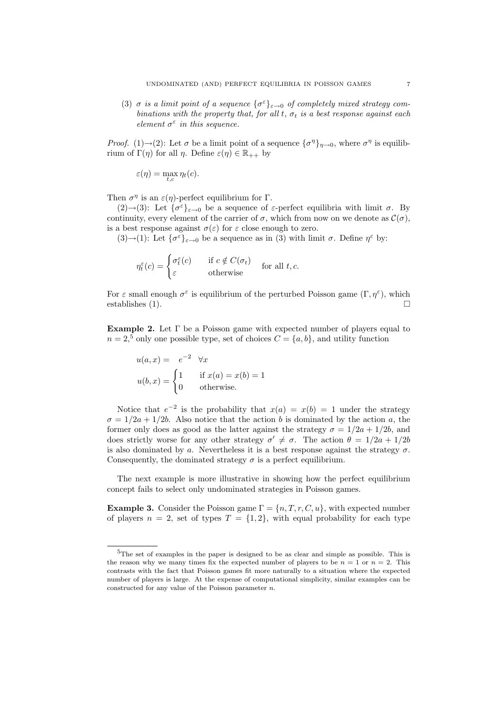(3)  $\sigma$  is a limit point of a sequence  $\{\sigma^{\varepsilon}\}_{\varepsilon \to 0}$  of completely mixed strategy combinations with the property that, for all t,  $\sigma_t$  is a best response against each element  $\sigma^{\varepsilon}$  in this sequence.

*Proof.* (1) $\rightarrow$ (2): Let  $\sigma$  be a limit point of a sequence  $\{\sigma^{\eta}\}_{\eta \rightarrow 0}$ , where  $\sigma^{\eta}$  is equilibrium of  $\Gamma(\eta)$  for all  $\eta$ . Define  $\varepsilon(\eta) \in \mathbb{R}_{++}$  by

$$
\varepsilon(\eta) = \max_{t,c} \eta_t(c).
$$

Then  $\sigma^{\eta}$  is an  $\varepsilon(\eta)$ -perfect equilibrium for  $\Gamma$ .

(2) $\rightarrow$ (3): Let  $\{\sigma^{\varepsilon}\}_{\varepsilon\to 0}$  be a sequence of  $\varepsilon$ -perfect equilibria with limit  $\sigma$ . By continuity, every element of the carrier of  $\sigma$ , which from now on we denote as  $\mathcal{C}(\sigma)$ , is a best response against  $\sigma(\varepsilon)$  for  $\varepsilon$  close enough to zero.

(3) $\rightarrow$ (1): Let  $\{\sigma^{\varepsilon}\}_{\varepsilon\rightarrow 0}$  be a sequence as in (3) with limit  $\sigma$ . Define  $\eta^{\varepsilon}$  by:

$$
\eta_t^{\varepsilon}(c) = \begin{cases} \sigma_t^{\varepsilon}(c) & \text{if } c \notin C(\sigma_t) \\ \varepsilon & \text{otherwise} \end{cases} \quad \text{for all } t, c.
$$

For  $\varepsilon$  small enough  $\sigma^{\varepsilon}$  is equilibrium of the perturbed Poisson game  $(\Gamma, \eta^{\varepsilon})$ , which establishes  $(1)$ .

Example 2. Let  $\Gamma$  be a Poisson game with expected number of players equal to  $n = 2<sup>5</sup>$  only one possible type, set of choices  $C = \{a, b\}$ , and utility function

$$
u(a, x) = e^{-2} \quad \forall x
$$
  

$$
u(b, x) = \begin{cases} 1 & \text{if } x(a) = x(b) = 1 \\ 0 & \text{otherwise.} \end{cases}
$$

Notice that  $e^{-2}$  is the probability that  $x(a) = x(b) = 1$  under the strategy  $\sigma = 1/2a + 1/2b$ . Also notice that the action b is dominated by the action a, the former only does as good as the latter against the strategy  $\sigma = 1/2a + 1/2b$ , and does strictly worse for any other strategy  $\sigma' \neq \sigma$ . The action  $\theta = 1/2a + 1/2b$ is also dominated by a. Nevertheless it is a best response against the strategy  $\sigma$ . Consequently, the dominated strategy  $\sigma$  is a perfect equilibrium.

The next example is more illustrative in showing how the perfect equilibrium concept fails to select only undominated strategies in Poisson games.

**Example 3.** Consider the Poisson game  $\Gamma = \{n, T, r, C, u\}$ , with expected number of players  $n = 2$ , set of types  $T = \{1, 2\}$ , with equal probability for each type

<sup>5</sup>The set of examples in the paper is designed to be as clear and simple as possible. This is the reason why we many times fix the expected number of players to be  $n = 1$  or  $n = 2$ . This contrasts with the fact that Poisson games fit more naturally to a situation where the expected number of players is large. At the expense of computational simplicity, similar examples can be constructed for any value of the Poisson parameter  $n$ .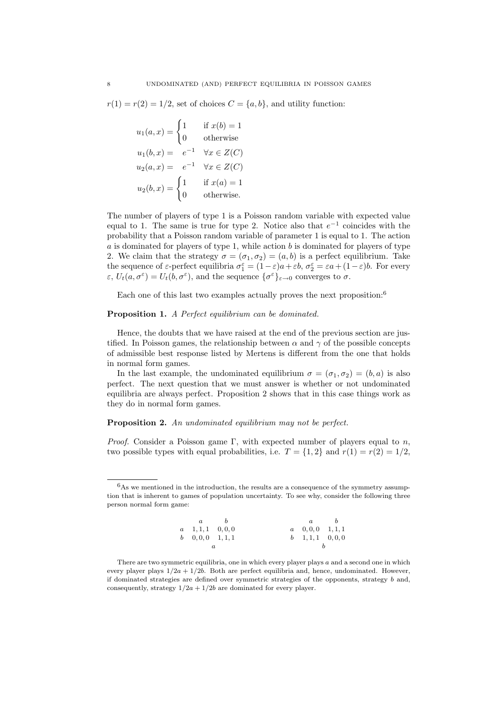$r(1) = r(2) = 1/2$ , set of choices  $C = \{a, b\}$ , and utility function:

$$
u_1(a,x) = \begin{cases} 1 & \text{if } x(b) = 1 \\ 0 & \text{otherwise} \end{cases}
$$
  
\n
$$
u_1(b,x) = e^{-1} \quad \forall x \in Z(C)
$$
  
\n
$$
u_2(a,x) = e^{-1} \quad \forall x \in Z(C)
$$
  
\n
$$
u_2(b,x) = \begin{cases} 1 & \text{if } x(a) = 1 \\ 0 & \text{otherwise.} \end{cases}
$$

The number of players of type 1 is a Poisson random variable with expected value equal to 1. The same is true for type 2. Notice also that  $e^{-1}$  coincides with the probability that a Poisson random variable of parameter 1 is equal to 1. The action  $a$  is dominated for players of type 1, while action  $b$  is dominated for players of type 2. We claim that the strategy  $\sigma = (\sigma_1, \sigma_2) = (a, b)$  is a perfect equilibrium. Take the sequence of  $\varepsilon$ -perfect equilibria  $\sigma_1^{\varepsilon} = (1 - \varepsilon)a + \varepsilon b$ ,  $\sigma_2^{\varepsilon} = \varepsilon a + (1 - \varepsilon)b$ . For every  $\varepsilon, U_t(a, \sigma^{\varepsilon}) = U_t(b, \sigma^{\varepsilon}),$  and the sequence  $\{\sigma^{\varepsilon}\}_{\varepsilon \to 0}$  converges to  $\sigma$ .

Each one of this last two examples actually proves the next proposition:<sup>6</sup>

### Proposition 1. A Perfect equilibrium can be dominated.

Hence, the doubts that we have raised at the end of the previous section are justified. In Poisson games, the relationship between  $\alpha$  and  $\gamma$  of the possible concepts of admissible best response listed by Mertens is different from the one that holds in normal form games.

In the last example, the undominated equilibrium  $\sigma = (\sigma_1, \sigma_2) = (b, a)$  is also perfect. The next question that we must answer is whether or not undominated equilibria are always perfect. Proposition 2 shows that in this case things work as they do in normal form games.

# Proposition 2. An undominated equilibrium may not be perfect.

*Proof.* Consider a Poisson game Γ, with expected number of players equal to n, two possible types with equal probabilities, i.e.  $T = \{1, 2\}$  and  $r(1) = r(2) = 1/2$ ,

 ${}^{6}\mathrm{As}$  we mentioned in the introduction, the results are a consequence of the symmetry assumption that is inherent to games of population uncertainty. To see why, consider the following three person normal form game:

|  | $a$ b                       |  | $a$ $b$                         |  |
|--|-----------------------------|--|---------------------------------|--|
|  | $a = 1, 1, 1 = 0, 0, 0$     |  | $a \quad 0, 0, 0 \quad 1, 1, 1$ |  |
|  | $b = 0, 0, 0 \quad 1, 1, 1$ |  | $b = 1, 1, 1 = 0, 0, 0$         |  |
|  |                             |  |                                 |  |

There are two symmetric equilibria, one in which every player plays  $a$  and a second one in which every player plays  $1/2a + 1/2b$ . Both are perfect equilibria and, hence, undominated. However, if dominated strategies are defined over symmetric strategies of the opponents, strategy  $b$  and, consequently, strategy  $1/2a + 1/2b$  are dominated for every player.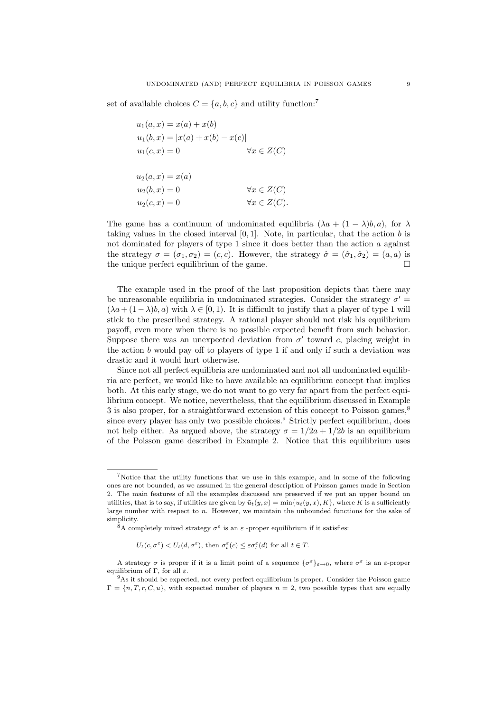set of available choices  $C = \{a, b, c\}$  and utility function:<sup>7</sup>

| $u_1(a,x) = x(a) + x(b)$          |                       |
|-----------------------------------|-----------------------|
| $u_1(b,x) =  x(a) + x(b) - x(c) $ |                       |
| $u_1(c,x) = 0$                    | $\forall x \in Z(C)$  |
|                                   |                       |
| $u_2(a,x) = x(a)$                 |                       |
| $u_2(b,x) = 0$                    | $\forall x \in Z(C)$  |
| $u_2(c,x) = 0$                    | $\forall x \in Z(C).$ |

The game has a continuum of undominated equilibria  $(\lambda a + (1 - \lambda)b, a)$ , for  $\lambda$ taking values in the closed interval  $[0, 1]$ . Note, in particular, that the action b is not dominated for players of type 1 since it does better than the action  $a$  against the strategy  $\sigma = (\sigma_1, \sigma_2) = (c, c)$ . However, the strategy  $\hat{\sigma} = (\hat{\sigma}_1, \hat{\sigma}_2) = (a, a)$  is the unique perfect equilibrium of the game.  $\Box$ 

The example used in the proof of the last proposition depicts that there may be unreasonable equilibria in undominated strategies. Consider the strategy  $\sigma'$  =  $(\lambda a + (1 - \lambda)b, a)$  with  $\lambda \in [0, 1)$ . It is difficult to justify that a player of type 1 will stick to the prescribed strategy. A rational player should not risk his equilibrium payoff, even more when there is no possible expected benefit from such behavior. Suppose there was an unexpected deviation from  $\sigma'$  toward c, placing weight in the action  $b$  would pay off to players of type 1 if and only if such a deviation was drastic and it would hurt otherwise.

Since not all perfect equilibria are undominated and not all undominated equilibria are perfect, we would like to have available an equilibrium concept that implies both. At this early stage, we do not want to go very far apart from the perfect equilibrium concept. We notice, nevertheless, that the equilibrium discussed in Example 3 is also proper, for a straightforward extension of this concept to Poisson games,<sup>8</sup> since every player has only two possible choices.<sup>9</sup> Strictly perfect equilibrium, does not help either. As argued above, the strategy  $\sigma = 1/2a + 1/2b$  is an equilibrium of the Poisson game described in Example 2. Notice that this equilibrium uses

 $U_t(c, \sigma^{\varepsilon}) < U_t(d, \sigma^{\varepsilon}),$  then  $\sigma_t^{\varepsilon}(c) \leq \varepsilon \sigma_t^{\varepsilon}(d)$  for all  $t \in T$ .

<sup>7</sup>Notice that the utility functions that we use in this example, and in some of the following ones are not bounded, as we assumed in the general description of Poisson games made in Section 2. The main features of all the examples discussed are preserved if we put an upper bound on utilities, that is to say, if utilities are given by  $\tilde{u}_t(y, x) = \min\{u_t(y, x), K\}$ , where K is a sufficiently large number with respect to n. However, we maintain the unbounded functions for the sake of simplicity.

<sup>&</sup>lt;sup>8</sup>A completely mixed strategy  $\sigma^{\epsilon}$  is an  $\epsilon$ -proper equilibrium if it satisfies:

A strategy  $\sigma$  is proper if it is a limit point of a sequence  $\{\sigma^{\varepsilon}\}_{\varepsilon \to 0}$ , where  $\sigma^{\varepsilon}$  is an  $\varepsilon$ -proper equilibrium of Γ, for all  $\varepsilon$ .

<sup>9</sup>As it should be expected, not every perfect equilibrium is proper. Consider the Poisson game  $\Gamma = \{n, T, r, C, u\}$ , with expected number of players  $n = 2$ , two possible types that are equally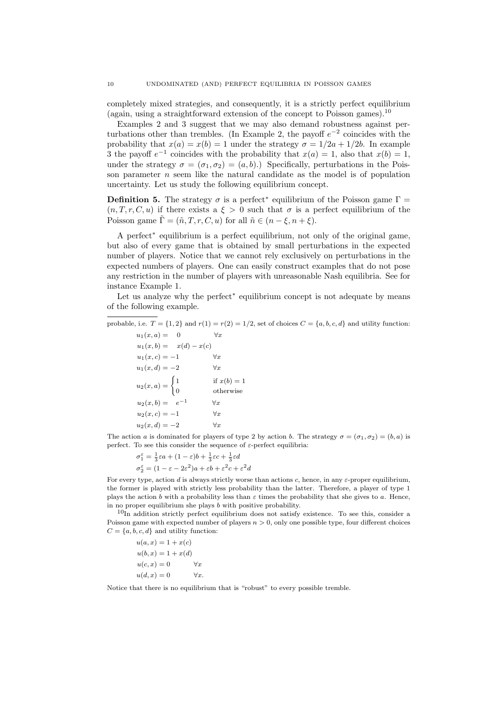completely mixed strategies, and consequently, it is a strictly perfect equilibrium (again, using a straightforward extension of the concept to Poisson games). 10

Examples 2 and 3 suggest that we may also demand robustness against perturbations other than trembles. (In Example 2, the payoff  $e^{-2}$  coincides with the probability that  $x(a) = x(b) = 1$  under the strategy  $\sigma = 1/2a + 1/2b$ . In example 3 the payoff  $e^{-1}$  coincides with the probability that  $x(a) = 1$ , also that  $x(b) = 1$ , under the strategy  $\sigma = (\sigma_1, \sigma_2) = (a, b)$ .) Specifically, perturbations in the Poisson parameter  $n$  seem like the natural candidate as the model is of population uncertainty. Let us study the following equilibrium concept.

**Definition 5.** The strategy  $\sigma$  is a perfect<sup>\*</sup> equilibrium of the Poisson game  $\Gamma$  =  $(n, T, r, C, u)$  if there exists a  $\xi > 0$  such that  $\sigma$  is a perfect equilibrium of the Poisson game  $\tilde{\Gamma} = (\tilde{n}, T, r, C, u)$  for all  $\tilde{n} \in (n - \xi, n + \xi)$ .

A perfect<sup>∗</sup> equilibrium is a perfect equilibrium, not only of the original game, but also of every game that is obtained by small perturbations in the expected number of players. Notice that we cannot rely exclusively on perturbations in the expected numbers of players. One can easily construct examples that do not pose any restriction in the number of players with unreasonable Nash equilibria. See for instance Example 1.

Let us analyze why the perfect<sup>∗</sup> equilibrium concept is not adequate by means of the following example.

probable, i.e.  $T = \{1, 2\}$  and  $r(1) = r(2) = 1/2$ , set of choices  $C = \{a, b, c, d\}$  and utility function:  $u_1(x, a) = 0$   $\forall x$ 

 $u_1(x, b) = x(d) - x(c)$  $u_1(x, c) = -1$   $\forall x$  $u_1(x, d) = -2$   $\forall x$  $u_2(x,a) = \begin{cases} 1 \\ 0 \end{cases}$ if  $x(b) = 1$ 0 otherwise  $u_2(x,b) = e^{-1}$   $\forall x$  $u_2(x, c) = -1$   $\forall x$  $u_2(x, d) = -2$   $\forall x$ 

The action a is dominated for players of type 2 by action b. The strategy  $\sigma = (\sigma_1, \sigma_2) = (b, a)$  is perfect. To see this consider the sequence of  $\varepsilon$ -perfect equilibria:

 $\sigma_1^{\varepsilon} = \frac{1}{3}\varepsilon a + (1-\varepsilon)b + \frac{1}{3}\varepsilon c + \frac{1}{3}\varepsilon d$  $\sigma_2^{\varepsilon} = (1 - \varepsilon - 2\varepsilon^2)a + \varepsilon b + \varepsilon^2 c + \varepsilon^2 d$ 

For every type, action  $d$  is always strictly worse than actions  $c$ , hence, in any  $\varepsilon$ -proper equilibrium, the former is played with strictly less probability than the latter. Therefore, a player of type 1 plays the action b with a probability less than  $\varepsilon$  times the probability that she gives to a. Hence, in no proper equilibrium she plays  $b$  with positive probability.

 $10$ In addition strictly perfect equilibrium does not satisfy existence. To see this, consider a Poisson game with expected number of players  $n > 0$ , only one possible type, four different choices  $C = \{a, b, c, d\}$  and utility function:

 $u(a, x) = 1 + x(c)$  $u(b, x) = 1 + x(d)$  $u(c, x) = 0 \qquad \forall x$  $u(d, x) = 0 \qquad \forall x$ 

Notice that there is no equilibrium that is "robust" to every possible tremble.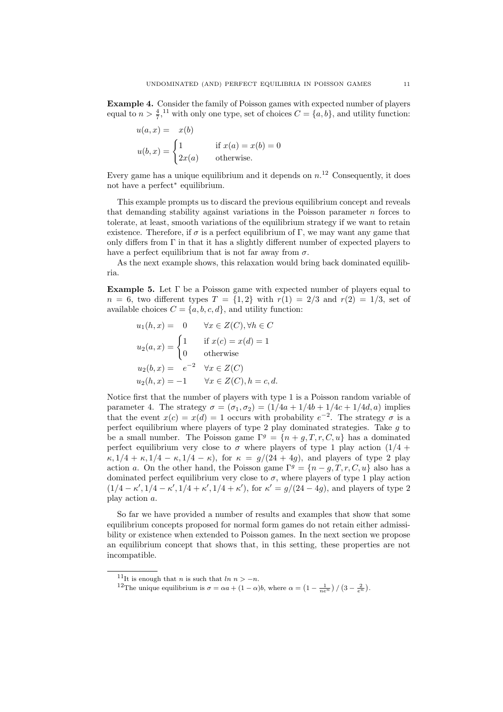Example 4. Consider the family of Poisson games with expected number of players equal to  $n > \frac{4}{7}$ ,<sup>11</sup> with only one type, set of choices  $C = \{a, b\}$ , and utility function:

$$
u(a, x) = x(b)
$$
  
\n
$$
u(b, x) = \begin{cases} 1 & \text{if } x(a) = x(b) = 0\\ 2x(a) & \text{otherwise.} \end{cases}
$$

Every game has a unique equilibrium and it depends on  $n<sup>12</sup>$  Consequently, it does not have a perfect<sup>∗</sup> equilibrium.

This example prompts us to discard the previous equilibrium concept and reveals that demanding stability against variations in the Poisson parameter  $n$  forces to tolerate, at least, smooth variations of the equilibrium strategy if we want to retain existence. Therefore, if  $\sigma$  is a perfect equilibrium of  $\Gamma$ , we may want any game that only differs from  $\Gamma$  in that it has a slightly different number of expected players to have a perfect equilibrium that is not far away from  $\sigma$ .

As the next example shows, this relaxation would bring back dominated equilibria.

Example 5. Let Γ be a Poisson game with expected number of players equal to  $n = 6$ , two different types  $T = \{1, 2\}$  with  $r(1) = 2/3$  and  $r(2) = 1/3$ , set of available choices  $C = \{a, b, c, d\}$ , and utility function:

$$
u_1(h, x) = 0 \quad \forall x \in Z(C), \forall h \in C
$$
  
\n
$$
u_2(a, x) = \begin{cases} 1 & \text{if } x(c) = x(d) = 1 \\ 0 & \text{otherwise} \end{cases}
$$
  
\n
$$
u_2(b, x) = e^{-2} \quad \forall x \in Z(C)
$$
  
\n
$$
u_2(h, x) = -1 \quad \forall x \in Z(C), h = c, d.
$$

Notice first that the number of players with type 1 is a Poisson random variable of parameter 4. The strategy  $\sigma = (\sigma_1, \sigma_2) = (1/4a + 1/4b + 1/4c + 1/4d, a)$  implies that the event  $x(c) = x(d) = 1$  occurs with probability  $e^{-2}$ . The strategy  $\sigma$  is a perfect equilibrium where players of type 2 play dominated strategies. Take  $g$  to be a small number. The Poisson game  $\Gamma^g = \{n+g, T, r, C, u\}$  has a dominated perfect equilibrium very close to  $\sigma$  where players of type 1 play action  $(1/4 +$  $\kappa$ ,  $1/4 + \kappa$ ,  $1/4 - \kappa$ ,  $1/4 - \kappa$ ), for  $\kappa = g/(24 + 4g)$ , and players of type 2 play action a. On the other hand, the Poisson game  $\Gamma^g = \{n-q, T, r, C, u\}$  also has a dominated perfect equilibrium very close to  $\sigma$ , where players of type 1 play action  $(1/4 - \kappa', 1/4 - \kappa', 1/4 + \kappa', 1/4 + \kappa')$ , for  $\kappa' = g/(24 - 4g)$ , and players of type 2 play action a.

So far we have provided a number of results and examples that show that some equilibrium concepts proposed for normal form games do not retain either admissibility or existence when extended to Poisson games. In the next section we propose an equilibrium concept that shows that, in this setting, these properties are not incompatible.

<sup>&</sup>lt;sup>11</sup>It is enough that *n* is such that  $ln n > -n$ .

<sup>&</sup>lt;sup>12</sup>The unique equilibrium is  $\sigma = \alpha a + (1 - \alpha)b$ , where  $\alpha = \left(1 - \frac{1}{ne^{\pi}}\right) / \left(3 - \frac{2}{e^{\pi}}\right)$ .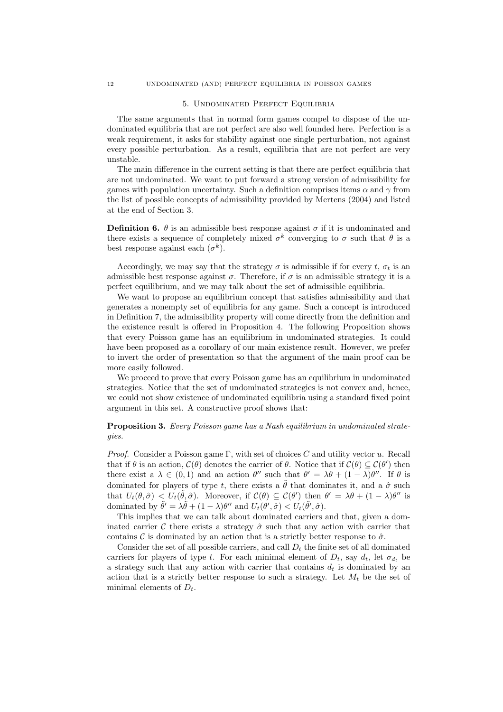#### 5. Undominated Perfect Equilibria

The same arguments that in normal form games compel to dispose of the undominated equilibria that are not perfect are also well founded here. Perfection is a weak requirement, it asks for stability against one single perturbation, not against every possible perturbation. As a result, equilibria that are not perfect are very unstable.

The main difference in the current setting is that there are perfect equilibria that are not undominated. We want to put forward a strong version of admissibility for games with population uncertainty. Such a definition comprises items  $\alpha$  and  $\gamma$  from the list of possible concepts of admissibility provided by Mertens (2004) and listed at the end of Section 3.

**Definition 6.**  $\theta$  is an admissible best response against  $\sigma$  if it is undominated and there exists a sequence of completely mixed  $\sigma^k$  converging to  $\sigma$  such that  $\theta$  is a best response against each  $(\sigma^k)$ .

Accordingly, we may say that the strategy  $\sigma$  is admissible if for every t,  $\sigma_t$  is an admissible best response against  $\sigma$ . Therefore, if  $\sigma$  is an admissible strategy it is a perfect equilibrium, and we may talk about the set of admissible equilibria.

We want to propose an equilibrium concept that satisfies admissibility and that generates a nonempty set of equilibria for any game. Such a concept is introduced in Definition 7, the admissibility property will come directly from the definition and the existence result is offered in Proposition 4. The following Proposition shows that every Poisson game has an equilibrium in undominated strategies. It could have been proposed as a corollary of our main existence result. However, we prefer to invert the order of presentation so that the argument of the main proof can be more easily followed.

We proceed to prove that every Poisson game has an equilibrium in undominated strategies. Notice that the set of undominated strategies is not convex and, hence, we could not show existence of undominated equilibria using a standard fixed point argument in this set. A constructive proof shows that:

# **Proposition 3.** Every Poisson game has a Nash equilibrium in undominated strategies.

*Proof.* Consider a Poisson game Γ, with set of choices C and utility vector u. Recall that if  $\theta$  is an action,  $\mathcal{C}(\theta)$  denotes the carrier of  $\theta$ . Notice that if  $\mathcal{C}(\theta) \subseteq \mathcal{C}(\theta')$  then there exist a  $\lambda \in (0,1)$  and an action  $\theta''$  such that  $\theta' = \lambda \theta + (1 - \lambda)\theta''$ . If  $\theta$  is dominated for players of type t, there exists a  $\tilde{\theta}$  that dominates it, and a  $\hat{\sigma}$  such that  $U_t(\theta, \hat{\sigma}) < U_t(\tilde{\theta}, \hat{\sigma})$ . Moreover, if  $\mathcal{C}(\theta) \subseteq \mathcal{C}(\theta')$  then  $\theta' = \lambda \theta + (1 - \lambda)\theta''$  is dominated by  $\tilde{\theta}' = \lambda \tilde{\theta} + (1 - \lambda)\theta''$  and  $U_t(\theta', \hat{\sigma}) < U_t(\tilde{\theta}', \hat{\sigma})$ .

This implies that we can talk about dominated carriers and that, given a dominated carrier C there exists a strategy  $\hat{\sigma}$  such that any action with carrier that contains C is dominated by an action that is a strictly better response to  $\hat{\sigma}$ .

Consider the set of all possible carriers, and call  $D_t$  the finite set of all dominated carriers for players of type t. For each minimal element of  $D_t$ , say  $d_t$ , let  $\sigma_{d_t}$  be a strategy such that any action with carrier that contains  $d_t$  is dominated by an action that is a strictly better response to such a strategy. Let  $M_t$  be the set of minimal elements of  $D_t$ .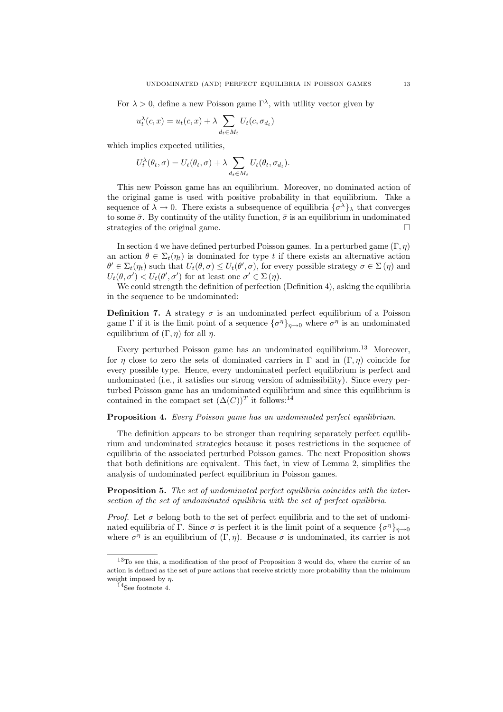For  $\lambda > 0$ , define a new Poisson game  $\Gamma^{\lambda}$ , with utility vector given by

$$
u_t^{\lambda}(c, x) = u_t(c, x) + \lambda \sum_{d_t \in M_t} U_t(c, \sigma_{d_t})
$$

which implies expected utilities,

$$
U_t^{\lambda}(\theta_t, \sigma) = U_t(\theta_t, \sigma) + \lambda \sum_{d_t \in M_t} U_t(\theta_t, \sigma_{d_t}).
$$

This new Poisson game has an equilibrium. Moreover, no dominated action of the original game is used with positive probability in that equilibrium. Take a sequence of  $\lambda \to 0$ . There exists a subsequence of equilibria  $\{\sigma^{\lambda}\}_{\lambda}$  that converges to some  $\bar{\sigma}$ . By continuity of the utility function,  $\bar{\sigma}$  is an equilibrium in undominated strategies of the original game.

In section 4 we have defined perturbed Poisson games. In a perturbed game  $(\Gamma, \eta)$ an action  $\theta \in \Sigma_t(\eta_t)$  is dominated for type t if there exists an alternative action  $\theta' \in \Sigma_t(\eta_t)$  such that  $U_t(\theta, \sigma) \leq U_t(\theta', \sigma)$ , for every possible strategy  $\sigma \in \Sigma(\eta)$  and  $U_t(\theta, \sigma') < U_t(\theta', \sigma')$  for at least one  $\sigma' \in \Sigma(\eta)$ .

We could strength the definition of perfection (Definition 4), asking the equilibria in the sequence to be undominated:

**Definition 7.** A strategy  $\sigma$  is an undominated perfect equilibrium of a Poisson game  $\Gamma$  if it is the limit point of a sequence  $\{\sigma^{\eta}\}_{\eta\to 0}$  where  $\sigma^{\eta}$  is an undominated equilibrium of  $(\Gamma, \eta)$  for all  $\eta$ .

Every perturbed Poisson game has an undominated equilibrium.<sup>13</sup> Moreover, for η close to zero the sets of dominated carriers in  $\Gamma$  and in  $(\Gamma, \eta)$  coincide for every possible type. Hence, every undominated perfect equilibrium is perfect and undominated (i.e., it satisfies our strong version of admissibility). Since every perturbed Poisson game has an undominated equilibrium and since this equilibrium is contained in the compact set  $(\Delta(C))^T$  it follows:<sup>14</sup>

### Proposition 4. Every Poisson game has an undominated perfect equilibrium.

The definition appears to be stronger than requiring separately perfect equilibrium and undominated strategies because it poses restrictions in the sequence of equilibria of the associated perturbed Poisson games. The next Proposition shows that both definitions are equivalent. This fact, in view of Lemma 2, simplifies the analysis of undominated perfect equilibrium in Poisson games.

Proposition 5. The set of undominated perfect equilibria coincides with the intersection of the set of undominated equilibria with the set of perfect equilibria.

*Proof.* Let  $\sigma$  belong both to the set of perfect equilibria and to the set of undominated equilibria of Γ. Since  $\sigma$  is perfect it is the limit point of a sequence  $\{\sigma^{\eta}\}_{\eta\to 0}$ where  $\sigma^{\eta}$  is an equilibrium of  $(\Gamma, \eta)$ . Because  $\sigma$  is undominated, its carrier is not

<sup>13</sup>To see this, a modification of the proof of Proposition 3 would do, where the carrier of an action is defined as the set of pure actions that receive strictly more probability than the minimum weight imposed by  $\eta$ .

 $14$ See footnote 4.